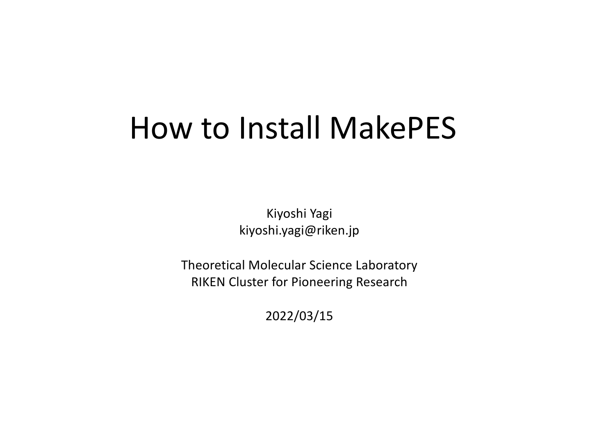## How to Install MakePES

Kiyoshi Yagi kiyoshi.yagi@riken.jp

Theoretical Molecular Science Laboratory RIKEN Cluster for Pioneering Research

2022/03/15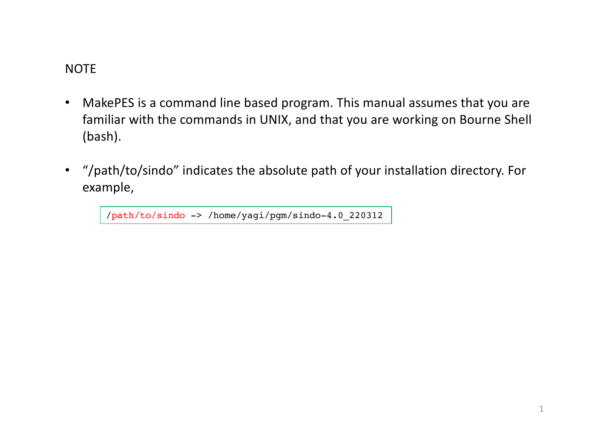## **NOTE**

- MakePES is a command line based program. This manual assumes that you are familiar with the commands in UNIX, and that you are working on Bourne Shell (bash).
- "/path/to/sindo" indicates the absolute path of your installation directory. For example,

/path/to/sindo -> /home/yagi/pgm/sindo-4.0\_220312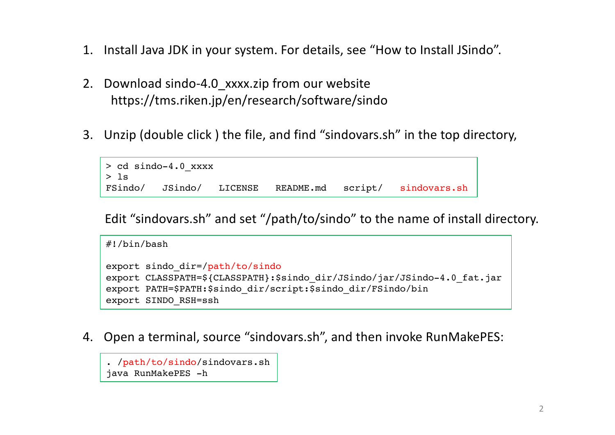- 1. Install Java JDK in your system. For details, see "How to Install JSindo".
- 2. Download sindo-4.0\_xxxx.zip from our website https://tms.riken.jp/en/research/software/sindo
- 3. Unzip (double click ) the file, and find "sindovars.sh" in the top directory,

```
> cd sindo-4.0_xxxx
> 1sFSindo/ JSindo/ LICENSE README.md script/ sindovars.sh
```
Edit "sindovars.sh" and set "/path/to/sindo" to the name of install directory.

```
#!/bin/bash
export sindo_dir=/path/to/sindo
export CLASSPATH=${CLASSPATH}:$sindo dir/JSindo/jar/JSindo-4.0 fat.jar
export PATH=$PATH:$sindo_dir/script:$sindo_dir/FSindo/bin
export SINDO_RSH=ssh
```
4. Open a terminal, source "sindovars.sh", and then invoke RunMakePES:

```
. /path/to/sindo/sindovars.sh
java RunMakePES -h
```